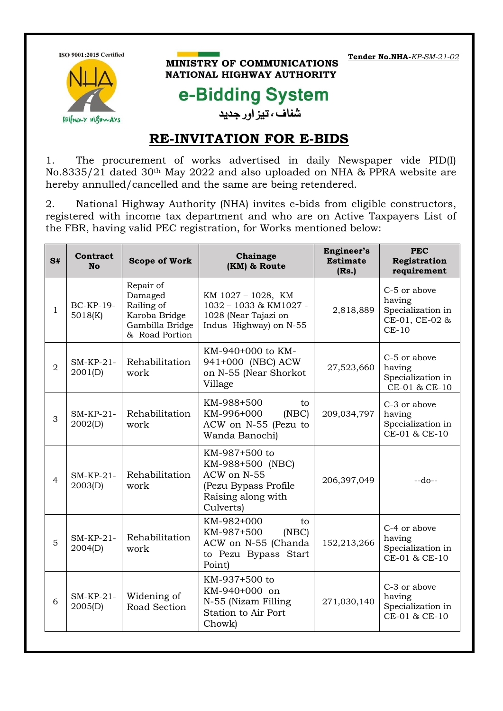ISO 9001:2015 Certified



## **MINISTRY OF COMMUNICATIONS** NATIONAL HIGHWAY AUTHORITY

**Tender No.NHA-***KP-SM-21-02*

## e-Bidding System

شفاف ، تیز اور جدید

## **RE-INVITATION FOR E-BIDS**

1. The procurement of works advertised in daily Newspaper vide PID(I) No.8335/21 dated 30th May 2022 and also uploaded on NHA & PPRA website are hereby annulled/cancelled and the same are being retendered.

2. National Highway Authority (NHA) invites e-bids from eligible constructors, registered with income tax department and who are on Active Taxpayers List of the FBR, having valid PEC registration, for Works mentioned below:

| S#             | Contract<br><b>No</b>           | <b>Scope of Work</b>                                                                     | Chainage<br>(KM) & Route                                                                                    | Engineer's<br><b>Estimate</b><br>(Rs.) | <b>PEC</b><br>Registration<br>requirement                                |
|----------------|---------------------------------|------------------------------------------------------------------------------------------|-------------------------------------------------------------------------------------------------------------|----------------------------------------|--------------------------------------------------------------------------|
| $\mathbf{1}$   | <b>BC-KP-19-</b><br>5018(K)     | Repair of<br>Damaged<br>Railing of<br>Karoba Bridge<br>Gambilla Bridge<br>& Road Portion | KM 1027 - 1028, KM<br>1032 - 1033 & KM1027 -<br>1028 (Near Tajazi on<br>Indus Highway) on N-55              | 2,818,889                              | C-5 or above<br>having<br>Specialization in<br>CE-01, CE-02 &<br>$CE-10$ |
| $\overline{2}$ | $SM$ - $KP$ - $21$ -<br>2001(D) | Rehabilitation<br>work                                                                   | KM-940+000 to KM-<br>941+000 (NBC) ACW<br>on N-55 (Near Shorkot<br>Village                                  | 27,523,660                             | C-5 or above<br>having<br>Specialization in<br>CE-01 & CE-10             |
| 3              | $SM-KP-21-$<br>2002(D)          | Rehabilitation<br>work                                                                   | KM-988+500<br>to<br>KM-996+000<br>(NEC)<br>ACW on N-55 (Pezu to<br>Wanda Banochi)                           | 209,034,797                            | C-3 or above<br>having<br>Specialization in<br>CE-01 & CE-10             |
| $\overline{4}$ | $SM-KP-21-$<br>2003(D)          | Rehabilitation<br>work                                                                   | KM-987+500 to<br>KM-988+500 (NBC)<br>ACW on N-55<br>(Pezu Bypass Profile<br>Raising along with<br>Culverts) | 206,397,049                            | $-do-$                                                                   |
| 5              | $SM-KP-21-$<br>2004(D)          | Rehabilitation<br>work                                                                   | KM-982+000<br>to<br>(NEC)<br>KM-987+500<br>ACW on N-55 (Chanda<br>to Pezu Bypass Start<br>Point)            | 152,213,266                            | C-4 or above<br>having<br>Specialization in<br>CE-01 & CE-10             |
| 6              | $SM-KP-21-$<br>2005(D)          | Widening of<br>Road Section                                                              | KM-937+500 to<br>KM-940+000 on<br>N-55 (Nizam Filling<br>Station to Air Port<br>Chowk)                      | 271,030,140                            | C-3 or above<br>having<br>Specialization in<br>CE-01 & CE-10             |
|                |                                 |                                                                                          |                                                                                                             |                                        |                                                                          |